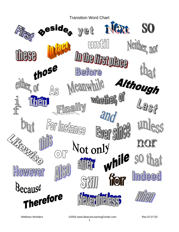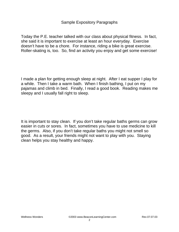# Sample Expository Paragraphs

Today the P.E. teacher talked with our class about physical fitness. In fact, she said it is important to exercise at least an hour everyday. Exercise doesn't have to be a chore. For instance, riding a bike is great exercise. Roller-skating is, too. So, find an activity you enjoy and get some exercise!

I made a plan for getting enough sleep at night. After I eat supper I play for a while. Then I take a warm bath. When I finish bathing, I put on my pajamas and climb in bed. Finally, I read a good book. Reading makes me sleepy and I usually fall right to sleep.

It is important to stay clean. If you don't take regular baths germs can grow easier in cuts or sores. In fact, sometimes you have to use medicine to kill the germs. Also, if you don't take regular baths you might not smell so good. As a result, your friends might not want to play with you. Staying clean helps you stay healthy and happy.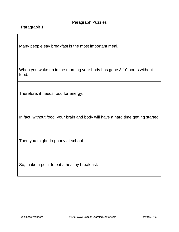Paragraph 1:

Many people say breakfast is the most important meal.

When you wake up in the morning your body has gone 8-10 hours without food.

Therefore, it needs food for energy.

In fact, without food, your brain and body will have a hard time getting started.

Then you might do poorly at school.

So, make a point to eat a healthy breakfast.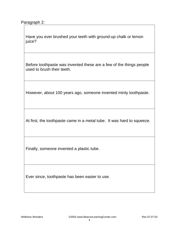Have you ever brushed your teeth with ground-up chalk or lemon juice?

Before toothpaste was invented these are a few of the things people used to brush their teeth.

However, about 100 years ago, someone invented minty toothpaste.

At first, the toothpaste came in a metal tube. It was hard to squeeze.

Finally, someone invented a plastic tube.

Ever since, toothpaste has been easier to use.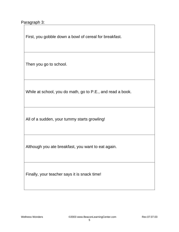Paragraph 3:

First, you gobble down a bowl of cereal for breakfast.

Then you go to school.

While at school, you do math, go to P.E., and read a book.

All of a sudden, your tummy starts growling!

Although you ate breakfast, you want to eat again.

Finally, your teacher says it is snack time!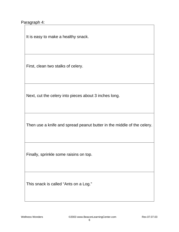#### Paragraph 4:

It is easy to make a healthy snack.

First, clean two stalks of celery.

Next, cut the celery into pieces about 3 inches long.

Then use a knife and spread peanut butter in the middle of the celery.

Finally, sprinkle some raisins on top.

This snack is called "Ants on a Log."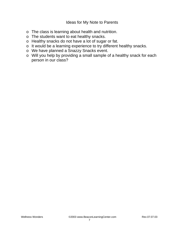### Ideas for My Note to Parents

- o The class is learning about health and nutrition.
- o The students want to eat healthy snacks.
- o Healthy snacks do not have a lot of sugar or fat.
- o It would be a learning experience to try different healthy snacks.
- o We have planned a Snazzy Snacks event.
- o Will you help by providing a small sample of a healthy snack for each person in our class?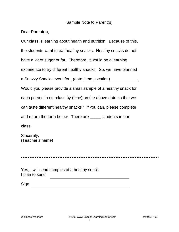### Sample Note to Parent(s)

Dear Parent(s),

Our class is learning about health and nutrition. Because of this, the students want to eat healthy snacks. Healthy snacks do not have a lot of sugar or fat. Therefore, it would be a learning experience to try different healthy snacks. So, we have planned a Snazzy Snacks event for \_(date, time, location)\_\_\_\_\_\_\_\_\_\_\_\_\_. Would you please provide a small sample of a healthy snack for each person in our class by (time) on the above date so that we can taste different healthy snacks? If you can, please complete and return the form below. There are \_\_\_\_\_ students in our class.

Sincerely, (Teacher's name)

Yes, I will send samples of a healthy snack. I plan to send

Sign